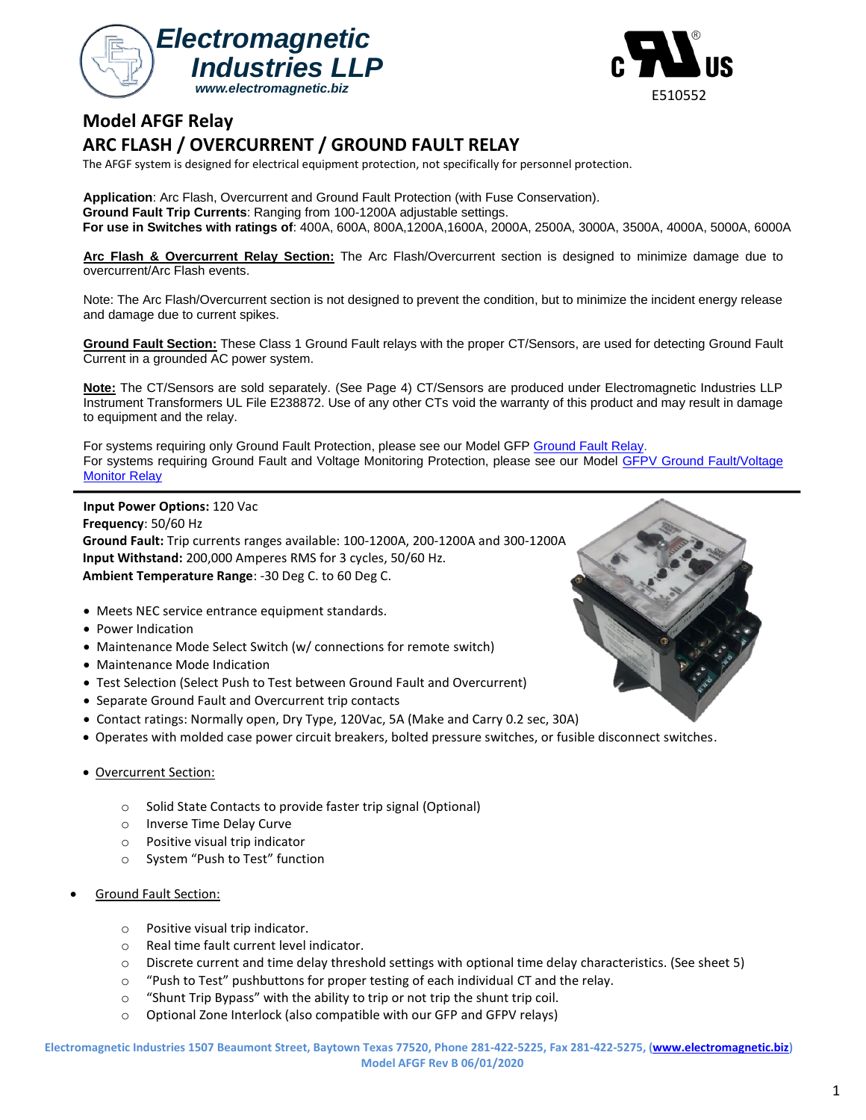



# **Model AFGF Relay**

# **ARC FLASH / OVERCURRENT / GROUND FAULT RELAY**

The AFGF system is designed for electrical equipment protection, not specifically for personnel protection.

**Application**: Arc Flash, Overcurrent and Ground Fault Protection (with Fuse Conservation). **Ground Fault Trip Currents**: Ranging from 100-1200A adjustable settings. **For use in Switches with ratings of**: 400A, 600A, 800A,1200A,1600A, 2000A, 2500A, 3000A, 3500A, 4000A, 5000A, 6000A

**Arc Flash & Overcurrent Relay Section:** The Arc Flash/Overcurrent section is designed to minimize damage due to overcurrent/Arc Flash events.

Note: The Arc Flash/Overcurrent section is not designed to prevent the condition, but to minimize the incident energy release and damage due to current spikes.

**Ground Fault Section:** These Class 1 Ground Fault relays with the proper CT/Sensors, are used for detecting Ground Fault Current in a grounded AC power system.

**Note:** The CT/Sensors are sold separately. (See Page 4) CT/Sensors are produced under Electromagnetic Industries LLP Instrument Transformers UL File E238872. Use of any other CTs void the warranty of this product and may result in damage to equipment and the relay.

For systems requiring only Ground Fault Protection, please see our Model GFP [Ground Fault Relay.](http://www.electromagnetic.biz/uploads/1/0/3/8/103838898/model_gfp_rev_g_10_31_2018.pdf) For systems requiring Ground Fault and Voltage Monitoring Protection, please see our Model GFPV [Ground Fault/Voltage](http://www.electromagnetic.biz/uploads/1/0/3/8/103838898/model_gfpv_data_sheet_04_16_2019_rev_b.pdf)  [Monitor](http://www.electromagnetic.biz/uploads/1/0/3/8/103838898/model_gfpv_data_sheet_04_16_2019_rev_b.pdf) Relay

**Input Power Options:** 120 Vac **Frequency**: 50/60 Hz **Ground Fault:** Trip currents ranges available: 100-1200A, 200-1200A and 300-1200A **Input Withstand:** 200,000 Amperes RMS for 3 cycles, 50/60 Hz. **Ambient Temperature Range**: -30 Deg C. to 60 Deg C.

- Meets NEC service entrance equipment standards.
- Power Indication
- Maintenance Mode Select Switch (w/ connections for remote switch)
- Maintenance Mode Indication
- Test Selection (Select Push to Test between Ground Fault and Overcurrent)
- Separate Ground Fault and Overcurrent trip contacts
- Contact ratings: Normally open, Dry Type, 120Vac, 5A (Make and Carry 0.2 sec, 30A)
- Operates with molded case power circuit breakers, bolted pressure switches, or fusible disconnect switches.
- Overcurrent Section:
	- o Solid State Contacts to provide faster trip signal (Optional)
	- o Inverse Time Delay Curve
	- o Positive visual trip indicator
	- o System "Push to Test" function
- Ground Fault Section:
	- o Positive visual trip indicator.
	- o Real time fault current level indicator.
	- $\circ$  Discrete current and time delay threshold settings with optional time delay characteristics. (See sheet 5)
	- o "Push to Test" pushbuttons for proper testing of each individual CT and the relay.
	- o "Shunt Trip Bypass" with the ability to trip or not trip the shunt trip coil.
	- o Optional Zone Interlock (also compatible with our GFP and GFPV relays)

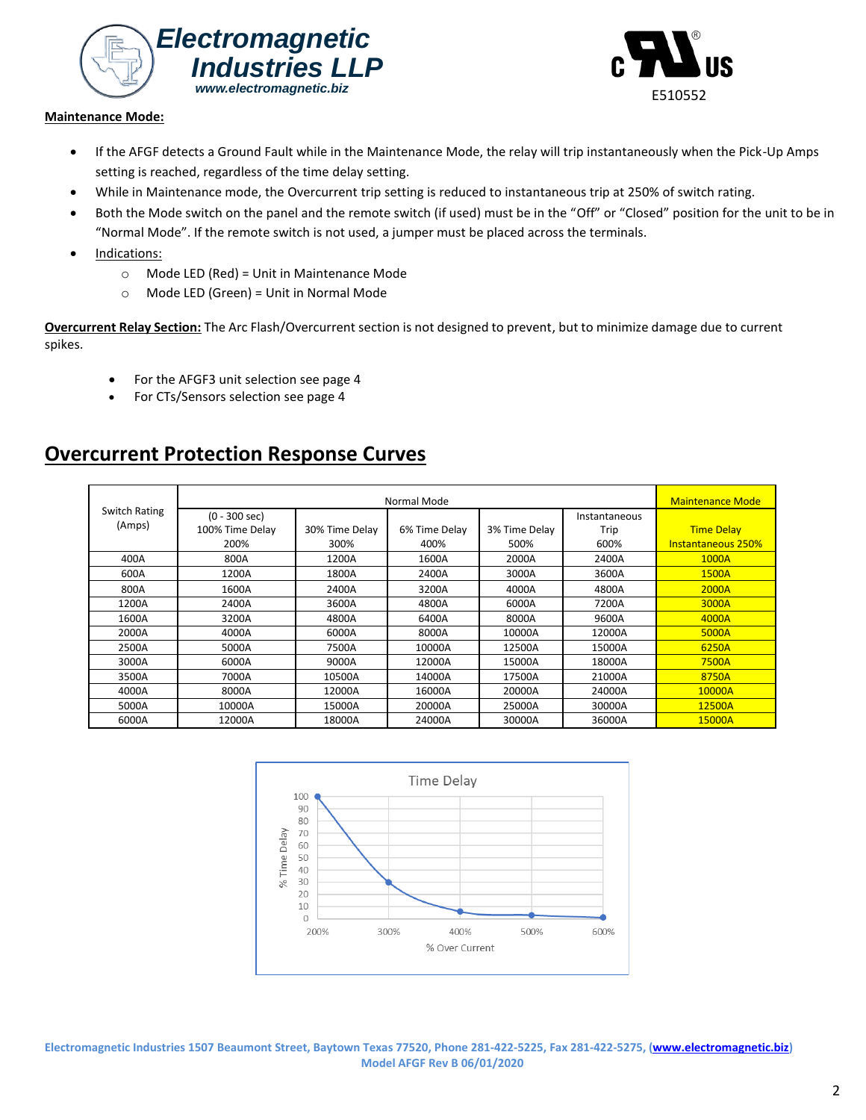



### **Maintenance Mode:**

- If the AFGF detects a Ground Fault while in the Maintenance Mode, the relay will trip instantaneously when the Pick-Up Amps setting is reached, regardless of the time delay setting.
- While in Maintenance mode, the Overcurrent trip setting is reduced to instantaneous trip at 250% of switch rating.
- Both the Mode switch on the panel and the remote switch (if used) must be in the "Off" or "Closed" position for the unit to be in "Normal Mode". If the remote switch is not used, a jumper must be placed across the terminals.
- Indications:
	- o Mode LED (Red) = Unit in Maintenance Mode
	- o Mode LED (Green) = Unit in Normal Mode

**Overcurrent Relay Section:** The Arc Flash/Overcurrent section is not designed to prevent, but to minimize damage due to current spikes.

- For the AFGF3 unit selection see page 4
- For CTs/Sensors selection see page 4

# **Overcurrent Protection Response Curves**

| Switch Rating |                         | <b>Maintenance Mode</b> |               |               |               |                           |
|---------------|-------------------------|-------------------------|---------------|---------------|---------------|---------------------------|
|               | $(0 - 300 \text{ sec})$ |                         |               |               | Instantaneous |                           |
| (Amps)        | 100% Time Delay         | 30% Time Delay          | 6% Time Delay | 3% Time Delay | Trip          | <b>Time Delay</b>         |
|               | 200%                    | 300%                    | 400%          | 500%          | 600%          | <b>Instantaneous 250%</b> |
| 400A          | 800A                    | 1200A                   | 1600A         | 2000A         | 2400A         | 1000A                     |
| 600A          | 1200A                   | 1800A                   | 2400A         | 3000A         | 3600A         | 1500A                     |
| 800A          | 1600A                   | 2400A                   | 3200A         | 4000A         | 4800A         | 2000A                     |
| 1200A         | 2400A                   | 3600A                   | 4800A         | 6000A         | 7200A         | 3000A                     |
| 1600A         | 3200A                   | 4800A                   | 6400A         | 8000A         | 9600A         | 4000A                     |
| 2000A         | 4000A                   | 6000A                   | 8000A         | 10000A        | 12000A        | 5000A                     |
| 2500A         | 5000A                   | 7500A                   | 10000A        | 12500A        | 15000A        | 6250A                     |
| 3000A         | 6000A                   | 9000A                   | 12000A        | 15000A        | 18000A        | 7500A                     |
| 3500A         | 7000A                   | 10500A                  | 14000A        | 17500A        | 21000A        | 8750A                     |
| 4000A         | 8000A                   | 12000A                  | 16000A        | 20000A        | 24000A        | 10000A                    |
| 5000A         | 10000A                  | 15000A                  | 20000A        | 25000A        | 30000A        | 12500A                    |
| 6000A         | 12000A                  | 18000A                  | 24000A        | 30000A        | 36000A        | 15000A                    |



**Electromagnetic Industries 1507 Beaumont Street, Baytown Texas 77520, Phone 281-422-5225, Fax 281-422-5275, [\(www.electromagnetic.biz\)](http://www.electromagnetic.biz/) Model AFGF Rev B 06/01/2020**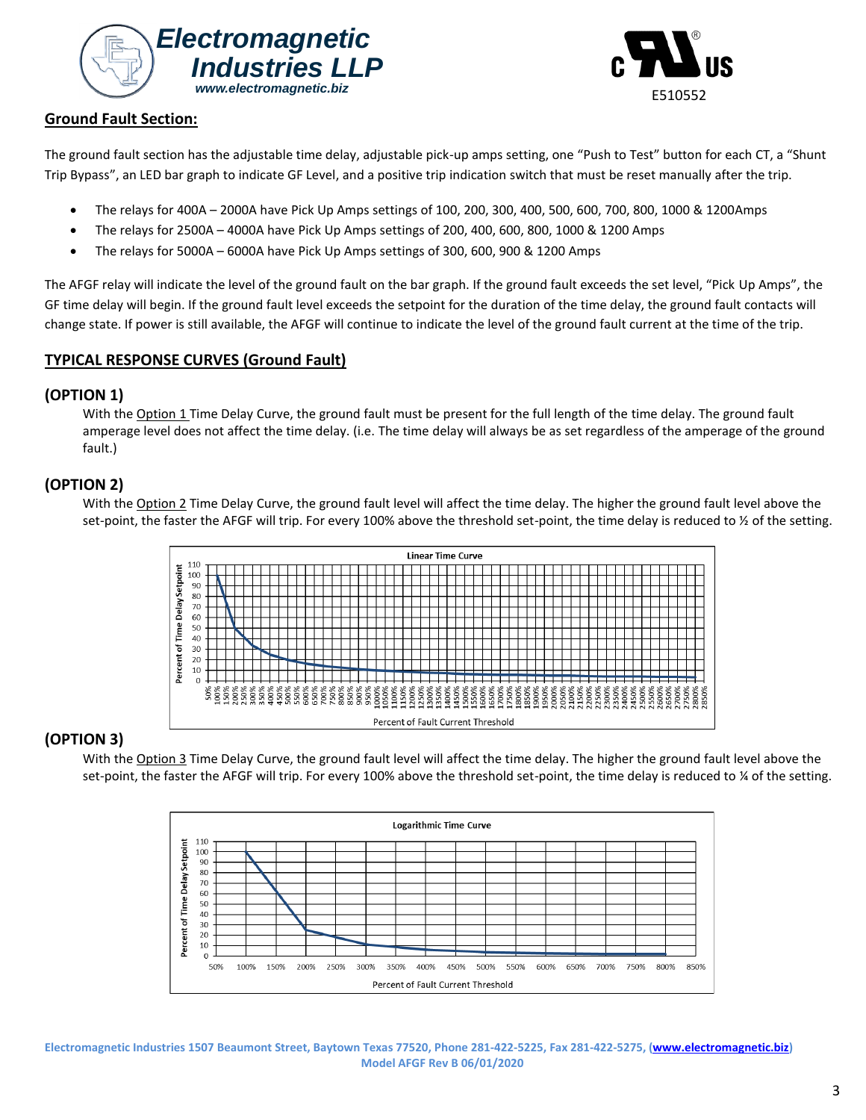



### **Ground Fault Section:**

The ground fault section has the adjustable time delay, adjustable pick-up amps setting, one "Push to Test" button for each CT, a "Shunt Trip Bypass", an LED bar graph to indicate GF Level, and a positive trip indication switch that must be reset manually after the trip.

- The relays for 400A 2000A have Pick Up Amps settings of 100, 200, 300, 400, 500, 600, 700, 800, 1000 & 1200Amps
- The relays for 2500A 4000A have Pick Up Amps settings of 200, 400, 600, 800, 1000 & 1200 Amps
- The relays for 5000A 6000A have Pick Up Amps settings of 300, 600, 900 & 1200 Amps

The AFGF relay will indicate the level of the ground fault on the bar graph. If the ground fault exceeds the set level, "Pick Up Amps", the GF time delay will begin. If the ground fault level exceeds the setpoint for the duration of the time delay, the ground fault contacts will change state. If power is still available, the AFGF will continue to indicate the level of the ground fault current at the time of the trip.

# **TYPICAL RESPONSE CURVES (Ground Fault)**

### **(OPTION 1)**

With the Option 1 Time Delay Curve, the ground fault must be present for the full length of the time delay. The ground fault amperage level does not affect the time delay. (i.e. The time delay will always be as set regardless of the amperage of the ground fault.)

# **(OPTION 2)**

With the Option 2 Time Delay Curve, the ground fault level will affect the time delay. The higher the ground fault level above the set-point, the faster the AFGF will trip. For every 100% above the threshold set-point, the time delay is reduced to  $\frac{1}{2}$  of the setting.



# **(OPTION 3)**

With the Option 3 Time Delay Curve, the ground fault level will affect the time delay. The higher the ground fault level above the set-point, the faster the AFGF will trip. For every 100% above the threshold set-point, the time delay is reduced to ¼ of the setting.



**Electromagnetic Industries 1507 Beaumont Street, Baytown Texas 77520, Phone 281-422-5225, Fax 281-422-5275, [\(www.electromagnetic.biz\)](http://www.electromagnetic.biz/) Model AFGF Rev B 06/01/2020**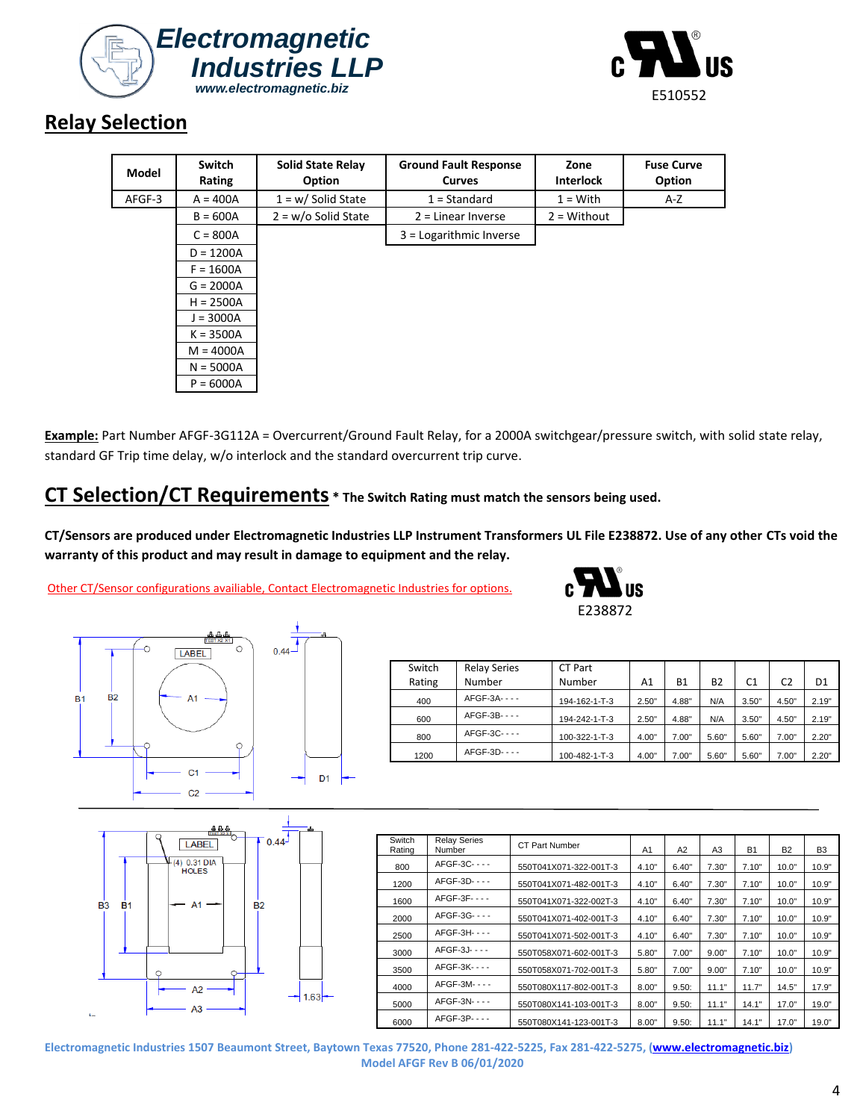



# **Relay Selection**

| Model  | Switch<br>Rating | <b>Solid State Relay</b><br>Option | <b>Ground Fault Response</b><br><b>Curves</b> | Zone<br><b>Interlock</b> | <b>Fuse Curve</b><br>Option |
|--------|------------------|------------------------------------|-----------------------------------------------|--------------------------|-----------------------------|
| AFGF-3 | $A = 400A$       | $1 = w /$ Solid State              | $1 = Standard$                                | $1 = With$               | A-Z                         |
|        | $B = 600A$       | $2 = w/o$ Solid State              | $2$ = Linear Inverse                          | $2 = \text{Without}$     |                             |
|        | $C = 800A$       |                                    | $3 =$ Logarithmic Inverse                     |                          |                             |
|        | $D = 1200A$      |                                    |                                               |                          |                             |
|        | $F = 1600A$      |                                    |                                               |                          |                             |
|        | $G = 2000A$      |                                    |                                               |                          |                             |
|        | $H = 2500A$      |                                    |                                               |                          |                             |
|        | $J = 3000A$      |                                    |                                               |                          |                             |
|        | $K = 3500A$      |                                    |                                               |                          |                             |
|        | $M = 4000A$      |                                    |                                               |                          |                             |
|        | $N = 5000A$      |                                    |                                               |                          |                             |
|        | $P = 6000A$      |                                    |                                               |                          |                             |

**Example:** Part Number AFGF-3G112A = Overcurrent/Ground Fault Relay, for a 2000A switchgear/pressure switch, with solid state relay, standard GF Trip time delay, w/o interlock and the standard overcurrent trip curve.

# **CT Selection/CT Requirements \* The Switch Rating must match the sensors being used.**

**CT/Sensors are produced under Electromagnetic Industries LLP Instrument Transformers UL File E238872. Use of any other CTs void the warranty of this product and may result in damage to equipment and the relay.**

Other CT/Sensor configurations availiable, Contact Electromagnetic Industries for options.





| Switch | <b>Relay Series</b> | CT Part       |       |           |           |                |       |                |
|--------|---------------------|---------------|-------|-----------|-----------|----------------|-------|----------------|
| Rating | Number              | Number        | A1    | <b>B1</b> | <b>B2</b> | C <sub>1</sub> | C2    | D <sub>1</sub> |
| 400    | $AFGF-3A---$        | 194-162-1-T-3 | 2.50" | 4.88"     | N/A       | 3.50"          | 4.50" | 2.19"          |
| 600    | AFGF-3B- - - -      | 194-242-1-T-3 | 2.50" | 4.88"     | N/A       | 3.50"          | 4.50" | 2.19"          |
| 800    | AFGF-3C----         | 100-322-1-T-3 | 4.00" | 7.00"     | 5.60"     | 5.60"          | 7.00" | 2.20"          |
| 1200   | $AFGF-3D---$        | 100-482-1-T-3 | 4.00" | 7.00"     | 5.60"     | 5.60"          | 7.00" | 2.20"          |

|                             | 典典典<br><b>LABEL</b><br>$+(4)$ 0.31 DIA<br>HOLES | ۵Ł.<br>$-0.44$ |
|-----------------------------|-------------------------------------------------|----------------|
| <b>B1</b><br>B <sub>3</sub> | A <sub>1</sub>                                  | <b>B2</b>      |
| $\mathbf{f}$                | A <sub>2</sub><br>A <sub>3</sub>                | 1.63           |

| Switch<br>Rating | <b>Relay Series</b><br>Number | <b>CT Part Number</b>  | A1    | A2    | A <sub>3</sub> | <b>B1</b> | <b>B2</b> | B <sub>3</sub> |
|------------------|-------------------------------|------------------------|-------|-------|----------------|-----------|-----------|----------------|
| 800              | AFGF-3C----                   | 550T041X071-322-001T-3 | 4.10" | 6.40" | 7.30"          | 7.10"     | 10.0"     | 10.9"          |
| 1200             | AFGF-3D- - - -                | 550T041X071-482-001T-3 | 4.10" | 6.40" | 7.30"          | 7.10"     | 10.0"     | 10.9"          |
| 1600             | AFGF-3F----                   | 550T041X071-322-002T-3 | 4.10" | 6.40" | 7.30"          | 7.10"     | 10.0"     | 10.9"          |
| 2000             | AFGF-3G----                   | 550T041X071-402-001T-3 | 4.10" | 6.40" | 7.30"          | 7.10"     | 10.0"     | 10.9"          |
| 2500             | AFGF-3H- - - -                | 550T041X071-502-001T-3 | 4.10" | 6.40" | 7.30"          | 7.10"     | 10.0"     | 10.9"          |
| 3000             | AFGF-3J- - - -                | 550T058X071-602-001T-3 | 5.80" | 7.00" | 9.00"          | 7.10"     | 10.0"     | 10.9"          |
| 3500             | AFGF-3K----                   | 550T058X071-702-001T-3 | 5.80" | 7.00" | 9.00"          | 7.10"     | 10.0"     | 10.9"          |
| 4000             | AFGF-3M----                   | 550T080X117-802-001T-3 | 8.00" | 9.50: | 11.1"          | 11.7"     | 14.5"     | 17.9"          |
| 5000             | AFGF-3N- - - -                | 550T080X141-103-001T-3 | 8.00" | 9.50: | 11.1"          | 14.1"     | 17.0"     | 19.0"          |
| 6000             | AFGF-3P----                   | 550T080X141-123-001T-3 | 8.00" | 9.50: | 11.1"          | 14.1"     | 17.0"     | 19.0"          |

**Electromagnetic Industries 1507 Beaumont Street, Baytown Texas 77520, Phone 281-422-5225, Fax 281-422-5275, [\(www.electromagnetic.biz\)](http://www.electromagnetic.biz/) Model AFGF Rev B 06/01/2020**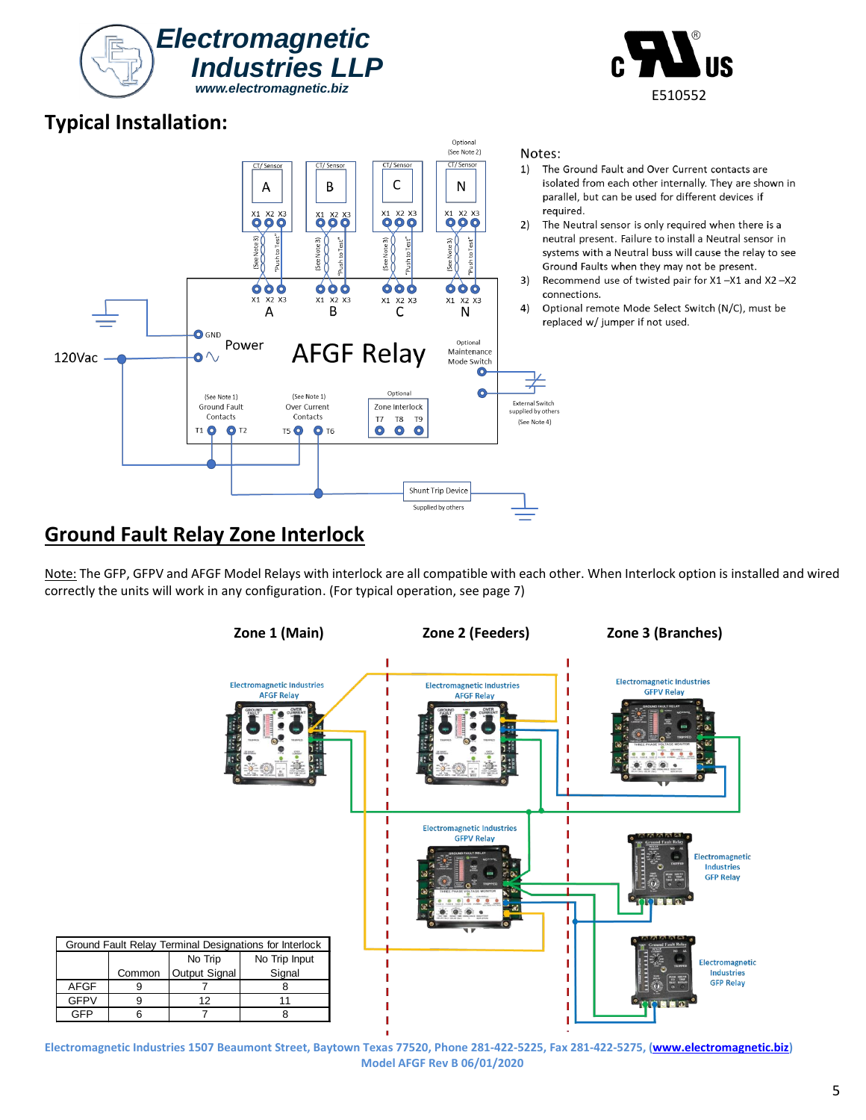# I GFP | 6 | 7 | 8 **Electromagnetic Industries 1507 Beaumont Street, Baytown Texas 77520, Phone 281-422-5225, Fax 281-422-5275, [\(www.electromagnetic.biz\)](http://www.electromagnetic.biz/)**

**Model AFGF Rev B 06/01/2020**

# **Typical Installation:**

#### $X1$ X2 X3  $X1$ X2 X3 X1 X2 X3 B  $\mathsf{C}$ A  $\bullet$  GND Power **AFGF Relay**  $\bullet \land$ 120Vac Optional (See Note 1) (See Note 1) Ground Fault Over Current Zone Interlock Contacts Contacts  $T8$ **T7** T<sub>9</sub>  $O$  T<sub>2</sub> T5 0 0 T6  $\bullet$  $\bullet$  $\bullet$ **T1 0**

### Notes:

- 1) The Ground Fault and Over Current contacts are isolated from each other internally. They are shown in parallel, but can be used for different devices if required.
- The Neutral sensor is only required when there is a neutral present. Failure to install a Neutral sensor in systems with a Neutral buss will cause the relay to see Ground Faults when they may not be present.
- Recommend use of twisted pair for X1-X1 and X2-X2 connections.
- Optional remote Mode Select Switch (N/C), must be replaced w/ jumper if not used.

# **Ground Fault Relay Zone Interlock**

Note: The GFP, GFPV and AFGF Model Relays with interlock are all compatible with each other. When Interlock option is installed and wired correctly the units will work in any configuration. (For typical operation, see page 7)

**Shunt Trip Device** Supplied by others





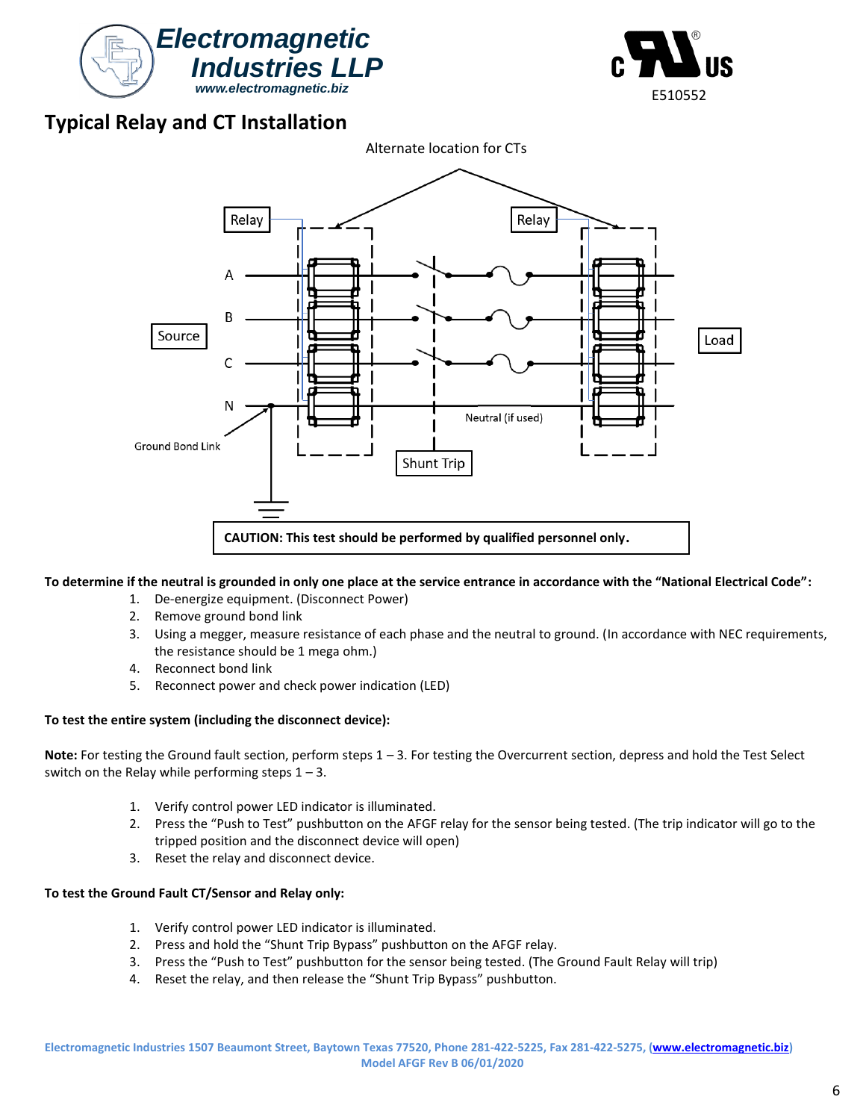



# **Typical Relay and CT Installation**



### **To determine if the neutral is grounded in only one place at the service entrance in accordance with the "National Electrical Code":**

- 1. De-energize equipment. (Disconnect Power)
- 2. Remove ground bond link
- 3. Using a megger, measure resistance of each phase and the neutral to ground. (In accordance with NEC requirements, the resistance should be 1 mega ohm.)
- 4. Reconnect bond link
- 5. Reconnect power and check power indication (LED)

### **To test the entire system (including the disconnect device):**

**Note:** For testing the Ground fault section, perform steps 1 – 3. For testing the Overcurrent section, depress and hold the Test Select switch on the Relay while performing steps  $1 - 3$ .

- 1. Verify control power LED indicator is illuminated.
- 2. Press the "Push to Test" pushbutton on the AFGF relay for the sensor being tested. (The trip indicator will go to the tripped position and the disconnect device will open)
- 3. Reset the relay and disconnect device.

### **To test the Ground Fault CT/Sensor and Relay only:**

- 1. Verify control power LED indicator is illuminated.
- 2. Press and hold the "Shunt Trip Bypass" pushbutton on the AFGF relay.
- 3. Press the "Push to Test" pushbutton for the sensor being tested. (The Ground Fault Relay will trip)
- 4. Reset the relay, and then release the "Shunt Trip Bypass" pushbutton.